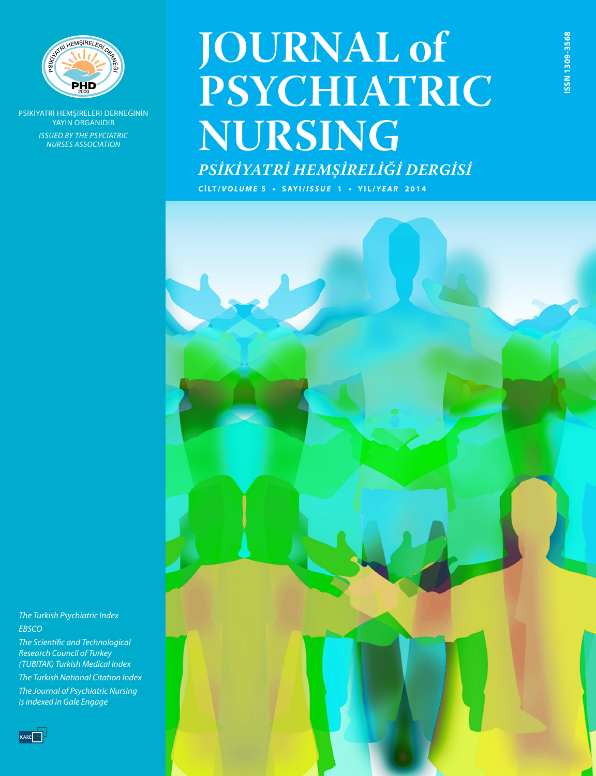

PSİKİYATRİ HEMŞİRELERİ DERNEĞİNİN YAYIN ORGANIDIR *ISSUED BY THE PSYCIATRIC NURSES ASSOCIATION*

# **JOURNAL of PSYCHIATRIC NURSING**

**ISSN 1309-3568**

SSN 1309-3568

*PSİKİYATRİ HEMŞİRELİĞİ DERGİSİ*

**C İ LT /** *VOLUME* **5 • SAYI/***ISSUE* **1 • YIL/** *YEAR* **2014**



*Emerging Sources Citation Index, The Turkish Psychiatric Index Turkish Psychiatry Index, EBSCO*

*The Scientific and Technological Index Copernicus, Research Council of Turkey Gale/Cengage Learning and (TUBITAK) Turkish Medical Index*

*The Turkish National Citation Index. The Journal of Psychiatric Nursing is indexed in Gale Engage*

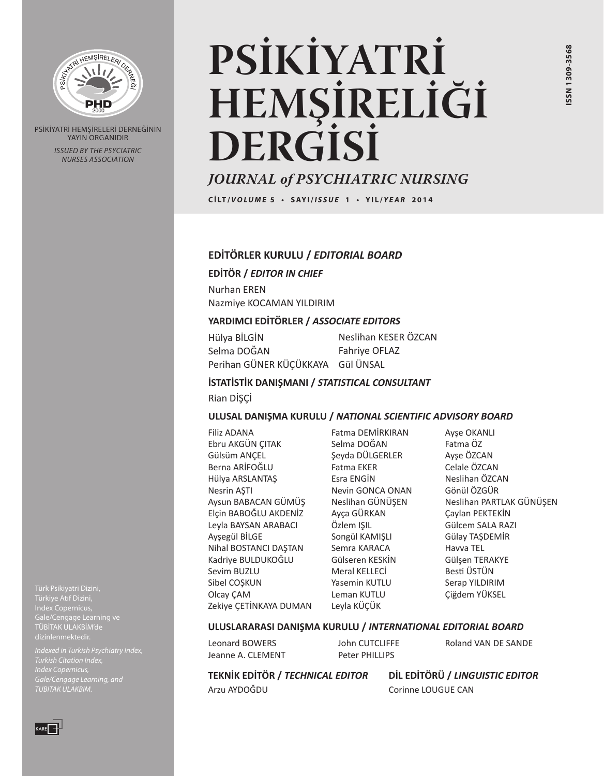

PSİKİYATRİ HEMŞİRELERİ DERNEĞİNİN YAYIN ORGANIDIR *ISSUED BY THE PSYCIATRIC NURSES ASSOCIATION*

# **PSİKİYATRİ HEMŞİRELİĞİ DERGİSİ**

# *JOURNAL of PSYCHIATRIC NURSING*

**C İ LT /** *VOLUME* **5 • SAYI/***ISSUE* **1 • YIL/** *YEAR* **2014**

#### **EDİTÖRLER KURULU /** *EDITORIAL BOARD*

**EDİTÖR /** *EDITOR IN CHIEF*

Nurhan EREN Nazmiye KOCAMAN YILDIRIM

#### **YARDIMCI EDİTÖRLER /** *ASSOCIATE EDITORS*

Hülya BİLGİN Selma DOĞAN Perihan GÜNER KÜÇÜKKAYA Gül ÜNSAL Neslihan KESER ÖZCAN Fahriye OFLAZ

#### **İSTATİSTİK DANIŞMANI /** *STATISTICAL CONSULTANT*

Rian DİSCİ

#### **ULUSAL DANIŞMA KURULU /** *NATIONAL SCIENTIFIC ADVISORY BOARD*

Filiz ADANA Ebru AKGÜN ÇITAK Gülsüm ANÇEL Berna ARİFOĞLU Hülya ARSLANTAŞ Nesrin AŞTI Aysun BABACAN GÜMÜŞ Elçin BABOĞLU AKDENİZ Leyla BAYSAN ARABACI Ayşegül BİLGE Nihal BOSTANCI DAŞTAN Kadriye BULDUKOĞLU Sevim BUZLU Sibel COSKUN Olcay ÇAM Zekiye ÇETİNKAYA DUMAN

Fatma DEMİRKIRAN Selma DOĞAN Şeyda DÜLGERLER Fatma EKER Esra ENGİN Nevin GONCA ONAN Neslihan GÜNÜŞEN Ayça GÜRKAN Özlem IŞIL Songül KAMIŞLI Semra KARACA Gülseren KESKİN Meral KELLECİ Yasemin KUTLU Leman KUTLU Leyla KÜÇÜK

Ayşe OKANLI Fatma ÖZ Ayşe ÖZCAN Celale ÖZCAN Neslihan ÖZCAN Gönül ÖZGÜR Neslihan PARTLAK GÜNÜŞEN Çaylan PEKTEKİN Gülcem SALA RAZI Gülay TAŞDEMİR Havva TEL Gülşen TERAKYE Besti ÜSTÜN Serap YILDIRIM Çiğdem YÜKSEL

#### **ULUSLARARASI DANIŞMA KURULU /** *INTERNATIONAL EDITORIAL BOARD*

Leonard BOWERS Jeanne A. CLEMENT John CUTCLIFFE Peter PHILLIPS

**TEKNİK EDİTÖR /** *TECHNICAL EDITOR* Arzu AYDOĞDU

**DİL EDİTÖRÜ /** *LINGUISTIC EDITOR* Corinne LOUGUE CAN

Roland VAN DE SANDE

Türk Psikiyatri Dizini, Türkiye Atıf Dizini, Index Copernicus, Gale/Cengage Learning ve

*Indexed in Turkish Psychiatry Index, Index Copernicus, Gale/Cengage Learning, and TUBITAK ULAKBIM.*